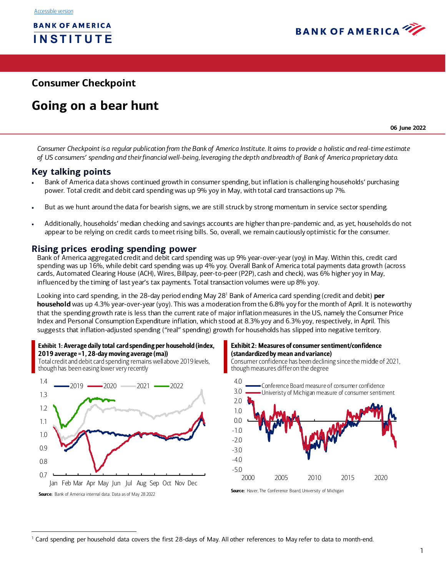

# **Consumer Checkpoint**

# **Going on a bear hunt**

**06 June 2022**

*Consumer Checkpoint is a regular publication from the Bank of America Institute. It aims to provide a holistic and real-time estimate of US consumers' spending and their financial well-being, leveraging the depth and breadth of Bank of America proprietary data.* 

# **Key talking points**

- Bank of America data shows continued growth in consumer spending, but inflation is challenging households' purchasing power. Total credit and debit card spending was up 9% yoy in May, with total card transactions up 7%.
- But as we hunt around the data for bearish signs, we are still struck by strong momentum in service sector spending.
- Additionally, households' median checking and savings accounts are higher than pre-pandemic and, as yet, households do not appear to be relying on credit cards to meet rising bills. So, overall, we remain cautiously optimistic for the consumer.

# **Rising prices eroding spending power**

Bank of America aggregated credit and debit card spending was up 9% year-over-year (yoy) in May. Within this, credit card spending was up 16%, while debit card spending was up 4% yoy. Overall Bank of America total payments data growth (across cards, Automated Clearing House (ACH), Wires, Billpay, peer-to-peer (P2P), cash and check), was 6% higher yoy in May, influenced by the timing of last year's tax payments. Total transaction volumes were up 8% yoy.

Looking into card spending, in the 28-day period ending May 28<sup>1</sup> Bank of America card spending (credit and debit) **per household** was up 4.3% year-over-year (yoy). This was a moderation from the 6.8% yoy for the month of April. It is noteworthy that the spending growth rate is less than the current rate of major inflation measures in the US, namely the Consumer Price Index and Personal Consumption Expenditure inflation, which stood at 8.3% yoy and 6.3% yoy, respectively, in April. This suggests that inflation-adjusted spending ("real" spending) growth for households has slipped into negative territory.

<span id="page-0-0"></span>

Total credit and debit card spending remains well above 2019 levels, though has been easing lower very recently



#### <span id="page-0-1"></span>Exhibit 2: Measures of consumer sentiment/confidence (standardized by mean and variance)

Consumer confidence has been declining since the middle of 2021, though measures differ on the degree



Source: Haver, The Conference Board, University of Michigan

<sup>&</sup>lt;sup>1</sup> Card spending per household data covers the first 28-days of May. All other references to May refer to data to month-end.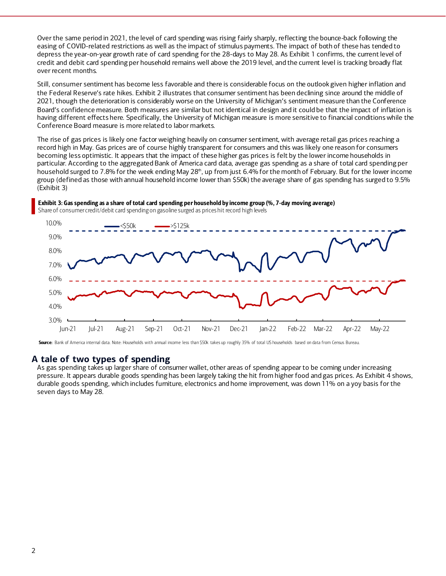Over the same period in 2021, the level of card spending was rising fairly sharply, reflecting the bounce-back following the easing of COVID-related restrictions as well as the impact of stimulus payments. The impact of both of these has tended to depress the year-on-year growth rate of card spending for the 28-days to May 28. A[s Exhibit 1](#page-0-0) confirms, the current level of credit and debit card spending per household remains well above the 2019 level, and the current level is tracking broadly flat over recent months.

Still, consumer sentiment has become less favorable and there is considerable focus on the outlook given higher inflation and the Federal Reserve's rate hikes. [Exhibit 2](#page-0-1) illustrates that consumer sentiment has been declining since around the middle of 2021, though the deterioration is considerably worse on the University of Michigan's sentiment measure than the Conference Board's confidence measure. Both measures are similar but not identical in design and it could be that the impact of inflation is having different effects here. Specifically, the University of Michigan measure is more sensitive to financial conditions while the Conference Board measure is more related to labor markets.

The rise of gas prices is likely one factor weighing heavily on consumer sentiment, with average retail gas prices reaching a record high in May. Gas prices are of course highly transparent for consumers and this was likely one reason for consumers becoming less optimistic. It appears that the impact of these higher gas prices is felt by the lower income households in particular. According to the aggregated Bank of America card data, average gas spending as a share of total card spending per household surged to 7.8% for the week ending May 28<sup>th</sup>, up from just 6.4% for the month of February. But for the lower income group (defined as those with annual household income lower than \$50k) the average share of gas spending has surged to 9.5% [\(Exhibit 3\)](#page-1-0)

<span id="page-1-0"></span>



Share of consumer credit/debit card spending on gasoline surged as prices hit record high levels

Source: Bank of America internal data. Note: Households with annual income less than \$50k takes up roughly 35% of total US households based on data from Census Bureau.

# **A tale of two types of spending**

As gas spending takes up larger share of consumer wallet, other areas of spending appear to be coming under increasing pressure. It appears durable goods spending has been largely taking the hit from higher food and gas prices. A[s Exhibit 4](#page-2-0) shows, durable goods spending, which includes furniture, electronics and home improvement, was down 11% on a yoy basis for the seven days to May 28.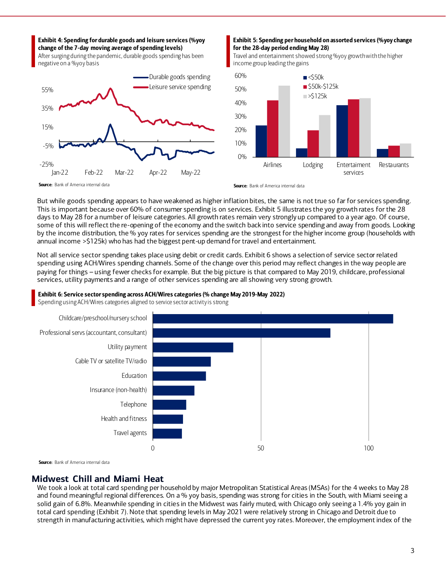#### <span id="page-2-0"></span>Exhibit 4: Spending for durable goods and leisure services (%yoy change of the 7-day moving average of spending levels)

After surging during the pandemic, durable goods spending has been negative on a %yoy basis



#### <span id="page-2-1"></span>Exhibit 5: Spending per household on assorted services (%yoy change for the 28-day period ending May 28)

Travel and entertainment showed strong %yoy growth with the higher income group leading the gains



Source: Bank of America internal data

Source: Bank of America internal data

But while goods spending appears to have weakened as higher inflation bites, the same is not true so far for services spending. This is important because over 60% of consumer spending is on service[s. Exhibit 5](#page-2-1) illustrates the yoy growth rates for the 28 days to May 28 for a number of leisure categories. All growth rates remain very strongly up compared to a year ago. Of course, some of this will reflect the re-opening of the economy and the switch back into service spending and away from goods. Looking by the income distribution, the % yoy rates for services spending are the strongest for the higher income group (households with annual income >\$125k) who has had the biggest pent-up demand for travel and entertainment.

Not all service sector spending takes place using debit or credit card[s. Exhibit 6](#page-2-2) shows a selection of service sector related spending using ACH/Wires spending channels. Some of the change over this period may reflect changes in the way people are paying for things – using fewer checks for example. But the big picture is that compared to May 2019, childcare, professional services, utility payments and a range of other services spending are all showing very strong growth.

#### <span id="page-2-2"></span>Exhibit 6: Service sector spending across ACH/Wires categories (% change May 2019-May 2022)

Spending using ACH/Wires categories aligned to service sector activity is strong



Source: Bank of America internal data

# **Midwest Chill and Miami Heat**

We took a look at total card spending per household by major Metropolitan Statistical Areas (MSAs) for the 4 weeks to May 28 and found meaningful regional differences. On a % yoy basis, spending was strong for cities in the South, with Miami seeing a solid gain of 6.8%. Meanwhile spending in cities in the Midwest was fairly muted, with Chicago only seeing a 1.4% yoy gain in total card spending [\(Exhibit 7](#page-3-0)). Note that spending levels in May 2021 were relatively strong in Chicago and Detroit due to strength in manufacturing activities, which might have depressed the current yoy rates. Moreover, the employment index of the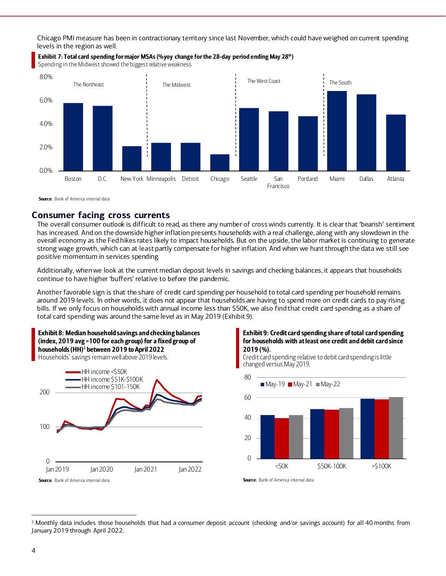Chicago PMI measure has been in contractionary territory since last November, which could have weighed on current spending levels in the region as well.



#### <span id="page-3-0"></span>Exhibit 7: Total card spending for major MSAs (%yoy change for the 28-day period ending May 28<sup>th</sup>)

Spending in the Midwest showed the biggest relative weakness

Source: Bank of America internal data

# **Consumer facing cross currents**

The overall consumer outlook is difficult to read, as there any number of cross winds currently. It is clear that 'bearish' sentiment has increased. And on the downside higher inflation presents households with a real challenge, along with any slowdown in the overall economy as the Fed hikes rates likely to impact households. But on the upside, the labor market is continuing to generate strong wage growth, which can at least partly compensate for higher inflation. And when we hunt through the data we still see positive momentum in services spending.

Additionally, when we look at the current median deposit levels in savings and checking balances, it appears that households continue to have higher 'buffers' relative to before the pandemic.

Another favorable sign is that the share of credit card spending per household to total card spending per household remains around 2019 levels. In other words, it does not appear that households are having to spend more on credit cards to pay rising bills. If we only focus on households with annual income less than \$50K, we also find that credit card spending as a share of total card spending was around the same level as in May 2019 [\(Exhibit 9\)](#page-3-1).





#### <span id="page-3-1"></span>Exhibit 9: Credit card spending share of total card spending for households with at least one credit and debit card since 2019 (%).

Credit card spending relative to debit card spending is little changed versus May 2019.



Source: Bank of America internal data

<sup>&</sup>lt;sup>2</sup> Monthly data includes those households that had a consumer deposit account (checking and/or savings account) for all 40 months from January 2019 through April 2022.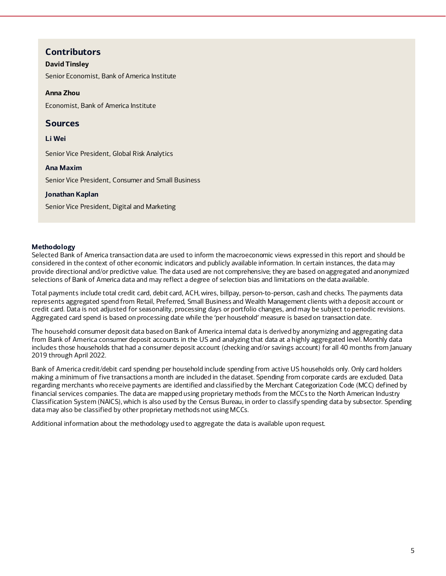# **Contributors**

# **David Tinsley**

Senior Economist, Bank of America Institute

# **Anna Zhou**

Economist, Bank of America Institute

# **Sources**

## **Li Wei**

Senior Vice President, Global Risk Analytics

### **Ana Maxim**

Senior Vice President, Consumer and Small Business

## **Jonathan Kaplan**

Senior Vice President, Digital and Marketing

### **Methodology**

Selected Bank of America transaction data are used to inform the macroeconomic views expressed in this report and should be considered in the context of other economic indicators and publicly available information. In certain instances, the data may provide directional and/or predictive value. The data used are not comprehensive; they are based on aggregated and anonymized selections of Bank of America data and may reflect a degree of selection bias and limitations on the data available.

Total payments include total credit card, debit card, ACH, wires, billpay, person-to-person, cash and checks. The payments data represents aggregated spend from Retail, Preferred, Small Business and Wealth Management clients with a deposit account or credit card. Data is not adjusted for seasonality, processing days or portfolio changes, and may be subject to periodic revisions. Aggregated card spend is based on processing date while the 'per household' measure is based on transaction date.

The household consumer deposit data based on Bank of America internal data is derived by anonymizing and aggregating data from Bank of America consumer deposit accounts in the US and analyzing that data at a highly aggregated level. Monthly data includes those households that had a consumer deposit account (checking and/or savings account) for all 40 months from January 2019 through April 2022.

Bank of America credit/debit card spending per household include spending from active US households only. Only card holders making a minimum of five transactions a month are included in the dataset. Spending from corporate cards are excluded. Data regarding merchants who receive payments are identified and classified by the Merchant Categorization Code (MCC) defined by financial services companies. The data are mapped using proprietary methods from the MCCs to the North American Industry Classification System (NAICS), which is also used by the Census Bureau, in order to classify spending data by subsector. Spending data may also be classified by other proprietary methods not using MCCs.

Additional information about the methodology used to aggregate the data is available upon request.